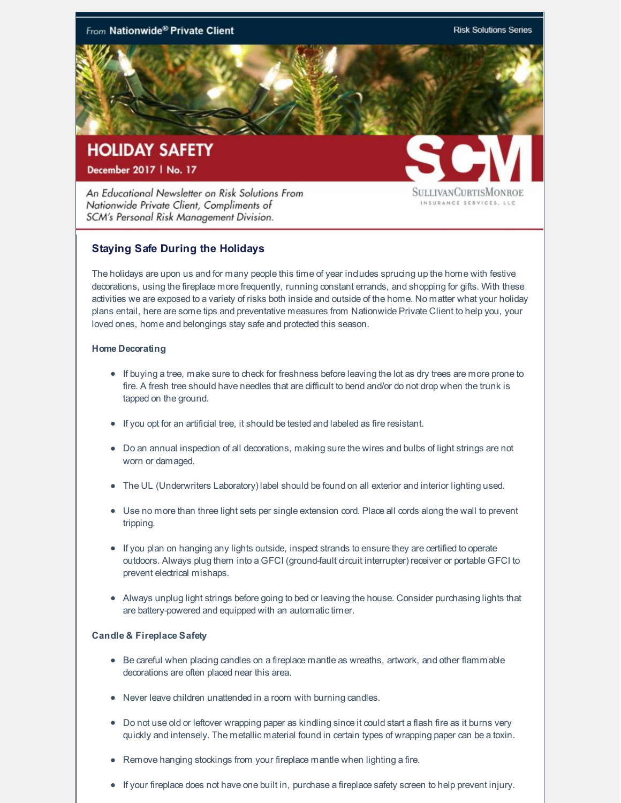

An Educational Newsletter on Risk Solutions From Nationwide Private Client, Compliments of SCM's Personal Risk Management Division.

**SULLIVANCURTISMONROE** INSURANCE SERVICES, LLC

## **Staying Safe During the Holidays**

The holidays are upon us and for many people this time of year indudes sprucing up the home with festive decorations, using the fireplace more frequently, running constant errands, and shopping for gifts. With these activities we are exposed to a variety of risks both inside and outside of the home. No matter what your holiday plans entail, here are some tips and preventative measures from Nationwide Private Client to help you, your loved ones, home and belongings stay safe and protected this season.

## **Home Decorating**

- If buying a tree, make sure to check for freshness before leaving the lot as dry trees are more prone to fire. A fresh tree should have needles that are difficult to bend and/or do not drop when the trunk is tapped on the ground.
- If you opt for an artificial tree, it should be tested and labeled as fire resistant.
- Do an annual inspection of all decorations, making sure the wires and bulbs of light strings are not worn or damaged.
- The UL (Underwriters Laboratory) label should be found on all exterior and interior lighting used.
- Use no more than three light sets per single extension cord. Place all cords along the wall to prevent tripping.
- If you plan on hanging any lights outside, inspect strands to ensure they are certified to operate outdoors. Always plug them into a GFCI (ground-fault circuit interrupter) receiver or portable GFCI to prevent electrical mishaps.
- Always unplug light strings before going to bed or leaving the house. Consider purchasing lights that are battery-powered and equipped with an automatic timer.

## **Candle & Fireplace Safety**

- Be careful when placing candles on a fireplace mantle as wreaths, artwork, and other flammable decorations are often placed near this area.
- Never leave children unattended in a room with burning candles.
- Do not use old or leftover wrapping paper as kindling since it could start a flash fire as it burns very quickly and intensely. The metallic material found in certain types of wrapping paper can be a toxin.
- Remove hanging stockings from your fireplace mantle when lighting a fire.
- If your fireplace does not have one built in, purchase a fireplace safety screen to help prevent injury.